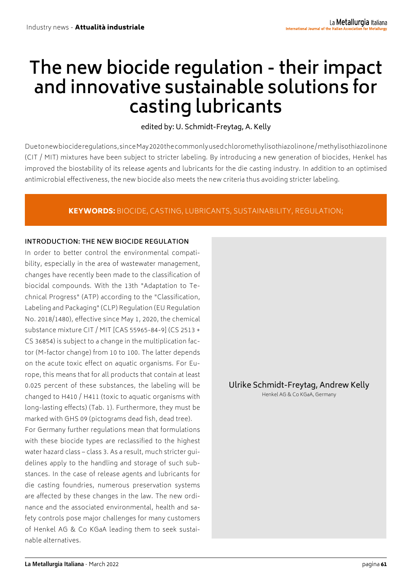# **The new biocide regulation - their impact and innovative sustainable solutions for casting lubricants**

# edited by: U. Schmidt-Freytag, A. Kelly

Due to new biocide regulations, since May 2020 the commonly used chloromethylisothiazolinone / methylisothiazolinone (CIT / MIT) mixtures have been subject to stricter labeling. By introducing a new generation of biocides, Henkel has improved the biostability of its release agents and lubricants for the die casting industry. In addition to an optimised antimicrobial effectiveness, the new biocide also meets the new criteria thus avoiding stricter labeling.

# KEYWORDS: BIOCIDE, CASTING, LUBRICANTS, SUSTAINABILITY, REGULATION;

#### **INTRODUCTION: THE NEW BIOCIDE REGULATION**

In order to better control the environmental compatibility, especially in the area of wastewater management, changes have recently been made to the classification of biocidal compounds. With the 13th "Adaptation to Technical Progress" (ATP) according to the "Classification, Labeling and Packaging" (CLP) Regulation (EU Regulation No. 2018/1480), effective since May 1, 2020, the chemical substance mixture CIT / MIT [CAS 55965-84-9] (CS 2513 + CS 36854) is subject to a change in the multiplication factor (M-factor change) from 10 to 100. The latter depends on the acute toxic effect on aquatic organisms. For Europe, this means that for all products that contain at least 0.025 percent of these substances, the labeling will be changed to H410 / H411 (toxic to aquatic organisms with long-lasting effects) (Tab. 1). Furthermore, they must be marked with GHS 09 (pictograms dead fish, dead tree).

For Germany further regulations mean that formulations with these biocide types are reclassified to the highest water hazard class – class 3. As a result, much stricter guidelines apply to the handling and storage of such substances. In the case of release agents and lubricants for die casting foundries, numerous preservation systems are affected by these changes in the law. The new ordinance and the associated environmental, health and safety controls pose major challenges for many customers of Henkel AG & Co KGaA leading them to seek sustainable alternatives.

Ulrike Schmidt-Freytag, Andrew Kelly

Henkel AG & Co KGaA, Germany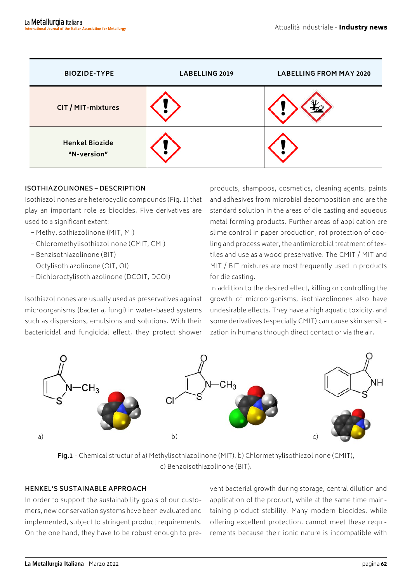| <b>BIOZIDE-TYPE</b>                  | LABELLING 2019 | <b>LABELLING FROM MAY 2020</b> |
|--------------------------------------|----------------|--------------------------------|
| CIT / MIT-mixtures                   |                |                                |
| <b>Henkel Biozide</b><br>"N-version" |                |                                |

#### **ISOTHIAZOLINONES – DESCRIPTION**

Isothiazolinones are heterocyclic compounds (Fig. 1) that play an important role as biocides. Five derivatives are used to a significant extent:

- − Methylisothiazolinone (MIT, MI)
- − Chloromethylisothiazolinone (CMIT, CMI)
- − Benzisothiazolinone (BIT)
- − Octylisothiazolinone (OIT, OI)
- − Dichloroctylisothiazolinone (DCOIT, DCOI)

Isothiazolinones are usually used as preservatives against microorganisms (bacteria, fungi) in water-based systems such as dispersions, emulsions and solutions. With their bactericidal and fungicidal effect, they protect shower

products, shampoos, cosmetics, cleaning agents, paints and adhesives from microbial decomposition and are the standard solution in the areas of die casting and aqueous metal forming products. Further areas of application are slime control in paper production, rot protection of cooling and process water, the antimicrobial treatment of textiles and use as a wood preservative. The CMIT / MIT and MIT / BIT mixtures are most frequently used in products for die casting.

In addition to the desired effect, killing or controlling the growth of microorganisms, isothiazolinones also have undesirable effects. They have a high aquatic toxicity, and some derivatives (especially CMIT) can cause skin sensitization in humans through direct contact or via the air.



**Fig.1** - Chemical structur of a) Methylisothiazolinone (MIT), b) Chlormethylisothiazolinone (CMIT), c) Benzoisothiazolinone (BIT).

## **HENKEL'S SUSTAINABLE APPROACH**

In order to support the sustainability goals of our customers, new conservation systems have been evaluated and implemented, subject to stringent product requirements. On the one hand, they have to be robust enough to pre-

vent bacterial growth during storage, central dilution and application of the product, while at the same time maintaining product stability. Many modern biocides, while offering excellent protection, cannot meet these requirements because their ionic nature is incompatible with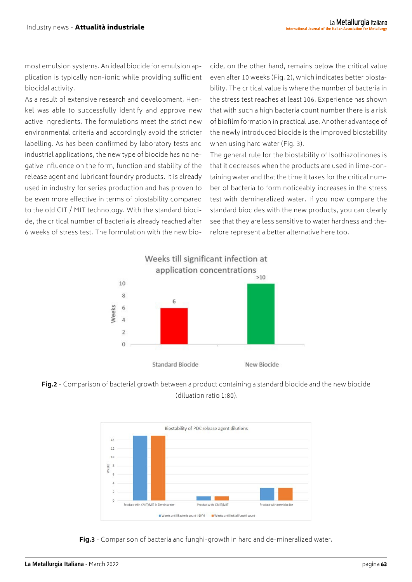most emulsion systems. An ideal biocide for emulsion application is typically non-ionic while providing sufficient biocidal activity.

As a result of extensive research and development, Henkel was able to successfully identify and approve new active ingredients. The formulations meet the strict new environmental criteria and accordingly avoid the stricter labelling. As has been confirmed by laboratory tests and industrial applications, the new type of biocide has no negative influence on the form, function and stability of the release agent and lubricant foundry products. It is already used in industry for series production and has proven to be even more effective in terms of biostability compared to the old CIT / MIT technology. With the standard biocide, the critical number of bacteria is already reached after 6 weeks of stress test. The formulation with the new bio-

cide, on the other hand, remains below the critical value even after 10 weeks (Fig. 2), which indicates better biostability. The critical value is where the number of bacteria in the stress test reaches at least 106. Experience has shown that with such a high bacteria count number there is a risk of biofilm formation in practical use. Another advantage of the newly introduced biocide is the improved biostability when using hard water (Fig. 3).

The general rule for the biostability of Isothiazolinones is that it decreases when the products are used in lime-containing water and that the time it takes for the critical number of bacteria to form noticeably increases in the stress test with demineralized water. If you now compare the standard biocides with the new products, you can clearly see that they are less sensitive to water hardness and therefore represent a better alternative here too.







**Fig.3** - Comparison of bacteria and funghi-growth in hard and de-mineralized water.